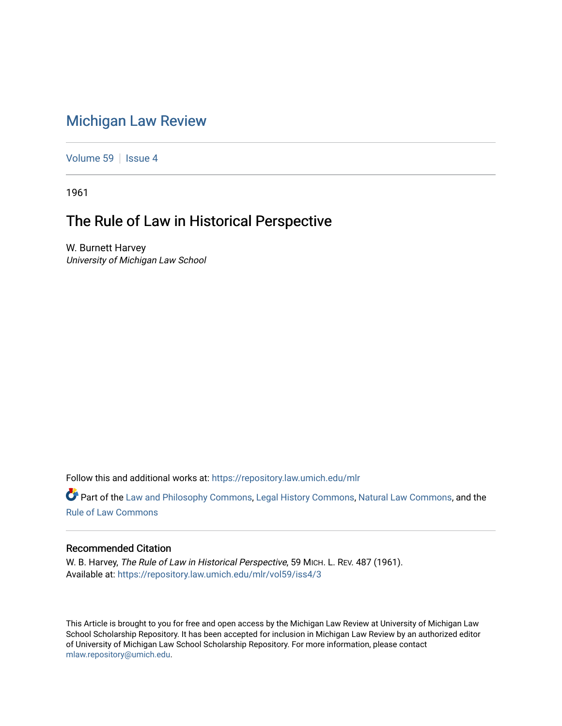## [Michigan Law Review](https://repository.law.umich.edu/mlr)

[Volume 59](https://repository.law.umich.edu/mlr/vol59) | [Issue 4](https://repository.law.umich.edu/mlr/vol59/iss4)

1961

# The Rule of Law in Historical Perspective

W. Burnett Harvey University of Michigan Law School

Follow this and additional works at: [https://repository.law.umich.edu/mlr](https://repository.law.umich.edu/mlr?utm_source=repository.law.umich.edu%2Fmlr%2Fvol59%2Fiss4%2F3&utm_medium=PDF&utm_campaign=PDFCoverPages) 

Part of the [Law and Philosophy Commons,](http://network.bepress.com/hgg/discipline/1299?utm_source=repository.law.umich.edu%2Fmlr%2Fvol59%2Fiss4%2F3&utm_medium=PDF&utm_campaign=PDFCoverPages) [Legal History Commons](http://network.bepress.com/hgg/discipline/904?utm_source=repository.law.umich.edu%2Fmlr%2Fvol59%2Fiss4%2F3&utm_medium=PDF&utm_campaign=PDFCoverPages), [Natural Law Commons](http://network.bepress.com/hgg/discipline/1263?utm_source=repository.law.umich.edu%2Fmlr%2Fvol59%2Fiss4%2F3&utm_medium=PDF&utm_campaign=PDFCoverPages), and the [Rule of Law Commons](http://network.bepress.com/hgg/discipline/1122?utm_source=repository.law.umich.edu%2Fmlr%2Fvol59%2Fiss4%2F3&utm_medium=PDF&utm_campaign=PDFCoverPages)

#### Recommended Citation

W. B. Harvey, The Rule of Law in Historical Perspective, 59 MICH. L. REV. 487 (1961). Available at: [https://repository.law.umich.edu/mlr/vol59/iss4/3](https://repository.law.umich.edu/mlr/vol59/iss4/3?utm_source=repository.law.umich.edu%2Fmlr%2Fvol59%2Fiss4%2F3&utm_medium=PDF&utm_campaign=PDFCoverPages)

This Article is brought to you for free and open access by the Michigan Law Review at University of Michigan Law School Scholarship Repository. It has been accepted for inclusion in Michigan Law Review by an authorized editor of University of Michigan Law School Scholarship Repository. For more information, please contact [mlaw.repository@umich.edu.](mailto:mlaw.repository@umich.edu)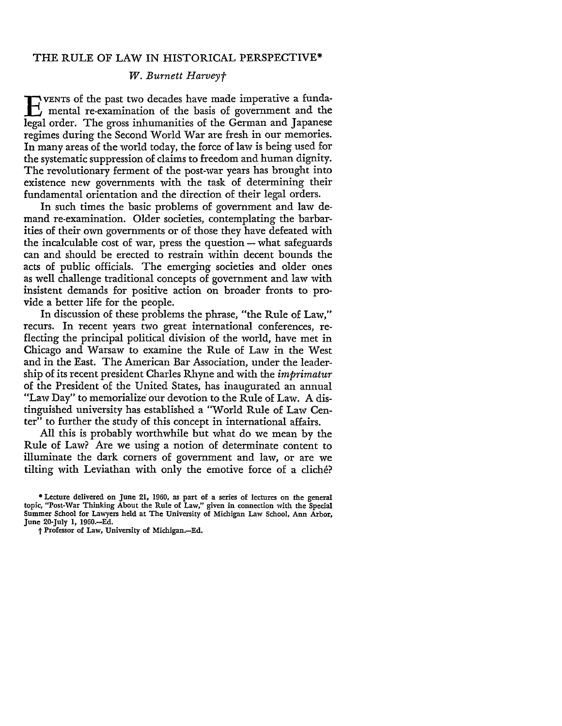#### THE RULE OF LAW IN HISTORICAL PERSPECTIVE\*

### *W. Burnett Harveyf*

EVENTS of the past two decades have made imperative a funda-mental re-examination of the basis of government and the legal order. The gross inhumanities of the German and Japanese regimes during the Second World War are fresh in our memories. In many areas of the world today, the force of law is being used for the systematic suppression of claims to freedom and human dignity. The revolutionary ferment of the post-war years has brought into existence new governments with the task of determining their fundamental orientation and the direction of their legal orders.

In such times the basic problems of government and law demand re-examination. Older societies, contemplating the barbarities of their own governments or of those they have defeated with the incalculable cost of war, press the question  $-$  what safeguards can and should be erected to restrain within decent bounds the acts of public officials. The emerging societies and older ones as well challenge traditional concepts of government and law with insistent demands for positive action on broader fronts to provide a better life for the people.

In discussion of these problems the phrase, "the Rule of Law," recurs. In recent years two great international conferences, reflecting the principal political division of the world, have met in Chicago and Warsaw to examine the Rule of Law in the West and in the East. The American Bar Association, under the leadership of its recent president Charles Rhyne and with the *imprimatur*  of the President of the United States, has inaugurated an annual "Law Day" to memorialize' our devotion to the Rule of Law. A distinguished university has established a "World Rule of Law Center" to further the study of this concept in international affairs.

All this is probably worthwhile but what do we mean by the Rule of Law? Are we using a notion of determinate content to illuminate the dark corners of government and law, or are we tilting with Leviathan with only the emotive force of a cliché?

<sup>•</sup> Lecture delivered on June 21, 1960, as part of a series of lectures on the general topic, "Post-War Thinking About the Rule of Law," given in connection with the Special Summer School for Lawyers held at The University of Michigan Law School, Ann Arbor, June 20-July 1, 1960.-Ed.

t Professor of Law, University of Michigan.-Ed.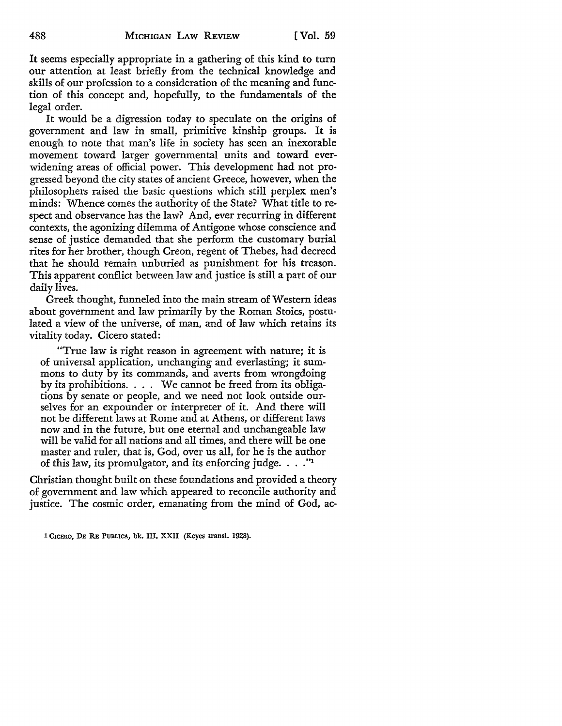It seems especially appropriate in a gathering of this kind to turn our attention at least briefly from the technical knowledge and **skills** of our profession to a consideration of the meaning and function of this concept and, hopefully, to the fundamentals of the legal order.

It would be a digression today to speculate on the origins of government and law in small, primitive kinship groups. It is enough to note that man's life in society has seen an inexorable movement toward larger governmental units and toward everwidening areas of official power. This development had not progressed beyond the city states of ancient Greece, however, when the philosophers raised the basic questions which still perplex men's minds: Whence comes the authority of the State? What title to respect and observance has the law? And, ever recurring in different contexts, the agonizing dilemma of Antigone whose conscience and sense of justice demanded that she perform the customary burial rites for her brother, though Creon, regent of Thebes, had decreed that he should remain unburied as punishment for his treason. This apparent conflict between law and justice is still a part of our daily lives.

Greek thought, funneled into the main stream of Western ideas about government and law primarily by the Roman Stoics, postulated a view of the universe, of man, and of law which retains its vitality today. Cicero stated:

"True law is right reason in agreement with nature; it is of universal application, unchanging and everlasting; it summons to duty by its commands, and averts from wrongdoing by its prohibitions. . . . We cannot be freed from its obligations by senate or people, and we need not look outside ourselves for an expounder or interpreter of it. And there will not be different laws at Rome and at Athens, or different laws now and in the future, but one eternal and unchangeable law will be valid for all nations and all times, and there will be one master and ruler, that is, God, over us all, for he is the author of this law, its promulgator, and its enforcing judge.  $\dots$ ."

Christian thought built on these foundations and provided a theory of government and law which appeared to reconcile authority and justice. The cosmic order, emanating from the mind of God, ac-

<sup>1</sup> CICERO, DE RE PUBLICA, bk. Ill, XXII (Keyes transl. 1928).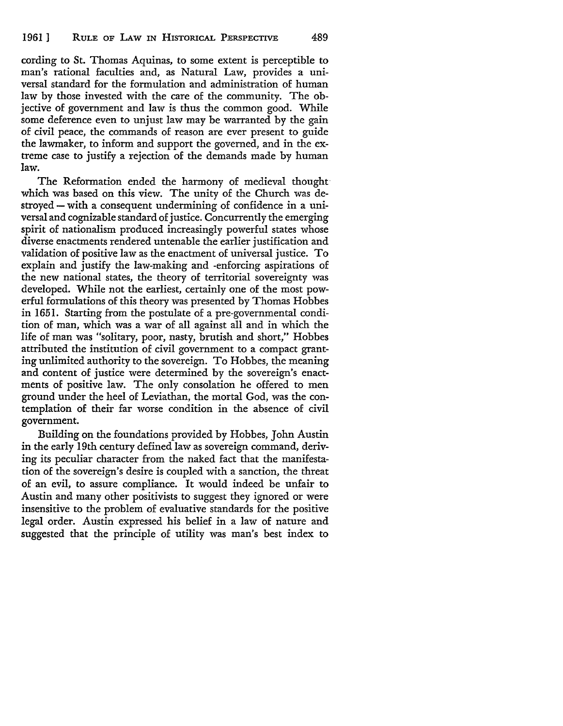cording to St. Thomas Aquinas, to some extent is perceptible to man's rational faculties and, as Natural Law, provides a universal standard for the formulation and administration of human law by those invested with the care of the community. The objective of government and law is thus the common good. While some deference even to unjust law may be warranted by the gain of civil peace, the commands of reason are ever present to guide the lawmaker, to inform and support the governed, and in the extreme case to justify a rejection of the demands made by human law.

The Reformation ended the harmony of medieval thought which was based on this view. The unity of the Church was destroyed – with a consequent undermining of confidence in a universal and cognizable standard of justice. Concurrently the emerging spirit of nationalism produced increasingly powerful states whose diverse enactments rendered untenable the earlier justification and validation of positive law as the enactment of universal justice. To explain and justify the law-making and -enforcing aspirations of the new national states, the theory of territorial sovereignty was developed. While not the earliest, certainly one of the most powerful formulations of this theory was presented by Thomas Hobbes in 1651. Starting from the postulate of a pre-governmental condition of man, which was a war of all against all and in which the life of man was "solitary, poor, nasty, brutish and short," Hobbes attributed the institution of civil government to a compact granting unlimited authority to the sovereign. To Hobbes, the meaning and content of justice were determined by the sovereign's enactments of positive law. The only consolation he offered to men ground under the heel of Leviathan, the mortal God, was the contemplation of their far worse condition in the absence of civil government.

Building on the foundations provided by Hobbes, John Austin in the early 19th century defined law as sovereign command, deriving its peculiar character from the naked fact that the manifestation of the sovereign's desire is coupled with a sanction, the threat of an evil, to assure compliance. It would indeed be unfair to Austin and many other positivists to suggest they ignored or were insensitive to the problem of evaluative standards for the positive legal order. Austin expressed his belief in a law of nature and suggested that the principle of utility was man's best index to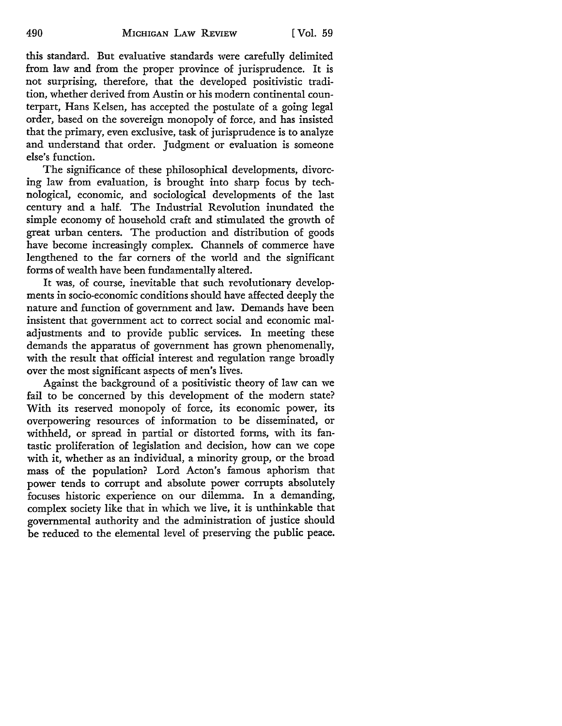this standard. But evaluative standards were carefully delimited from law and from the proper province of jurisprudence. It is not surprising, therefore, that the developed positivistic tradition, whether derived from Austin or his modern continental counterpart, Hans Kelsen, has accepted the postulate of a going legal order, based on the sovereign monopoly of force, and has insisted that the primary, even exclusive, task of jurisprudence is to analyze and understand that order. Judgment or evaluation is someone else's function.

The significance of these philosophical developments, divorcing law from evaluation, is brought into sharp focus by technological, economic, and sociological developments of the last century and a half. The Industrial Revolution inundated the simple economy of household craft and stimulated the growth of great urban centers. The production and distribution of goods have become increasingly complex. Channels of commerce have lengthened to the far corners of the world and the significant forms of wealth have been fundamentally altered.

It was, of course, inevitable that such revolutionary developments in socio-economic conditions should have affected deeply the nature and function of government and law. Demands have been insistent that government act to correct social and economic maladjustments and to provide public services. In meeting these demands the apparatus of government has grown phenomenally, with the result that official interest and regulation range broadly over the most significant aspects of men's lives.

Against the background of a positivistic theory of law can we fail to be concerned by this development of the modern state? With its reserved monopoly of force, its economic power, its overpowering resources of information to be disseminated, or withheld, or spread in partial or distorted forms, with its fantastic proliferation of legislation and decision, how can we cope with it, whether as an individual, a minority group, or the broad mass of the population? Lord Acton's famous aphorism that power tends to corrupt and absolute power corrupts absolutely focuses historic experience on our dilemma. In a demanding, complex society like that in which we live, it is unthinkable that governmental authority and the administration of justice should be reduced to the elemental level of preserving the public peace.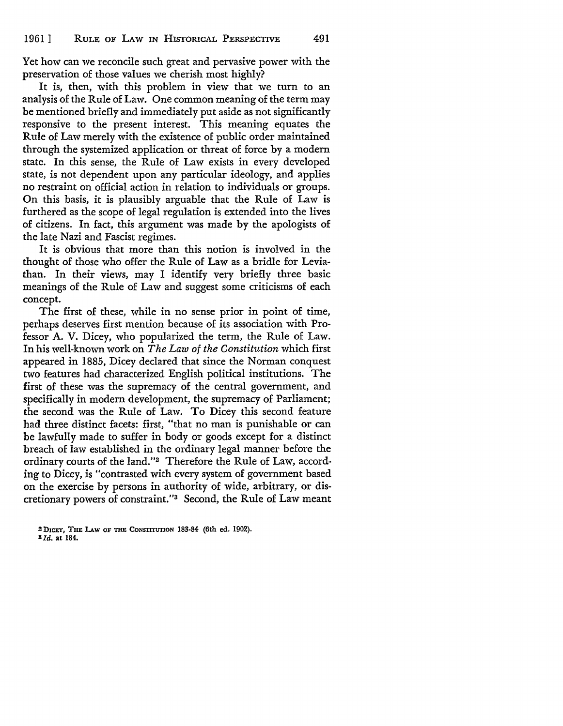Yet how can we reconcile such great and pervasive power with the preservation of those values we cherish most highly?

It is, then, with this problem in view that we turn to an analysis of the Rule of Law. One common meaning of the term may be mentioned briefly and immediately put aside as not significantly responsive to the present interest. This meaning equates the Rule of Law merely with the existence of public order maintained through the systemized application or threat of force by a modern state. In this sense, the Rule of Law exists in every developed state, is not dependent upon any particular ideology, and applies no restraint on official action in relation to individuals or groups. On this basis, it is plausibly arguable that the Rule of Law is furthered as the scope of legal regulation is extended into the lives of citizens. In fact, this argument was made by the apologists of the late Nazi and Fascist regimes.

It is obvious that more than this notion is involved in the thought of those who offer the Rule of Law as a bridle for Leviathan. In their views, may I identify very briefly three basic meanings of the Rule of Law and suggest some criticisms of each concept.

The first of these, while in no sense prior in point of time, perhaps deserves first mention because of its association with Professor A. V. Dicey, who popularized the term, the Rule of Law. In his well-known work on *The Law of the Constitution* which first appeared in 1885, Dicey declared that since the Norman conquest two features had characterized English political institutions. The first of these was the supremacy of the central government, and specifically in modern development, the supremacy of Parliament; the second was the Rule of Law. To Dicey this second feature had three distinct facets: first, "that no man is punishable or can be lawfully made to suffer in body or goods except for a distinct breach of law established in the ordinary legal manner before the ordinary courts of the land."2 Therefore the Rule of Law, according to Dicey, is "contrasted with every system of government based on the exercise by persons in authority of wide, arbitrary, or discretionary powers of constraint."3 Second, the Rule of Law meant

<sup>2</sup> DICEY, THE I.Aw OF THE CONSTITUTION 183-84 (6th ed. 1902). **8Id. at** 184.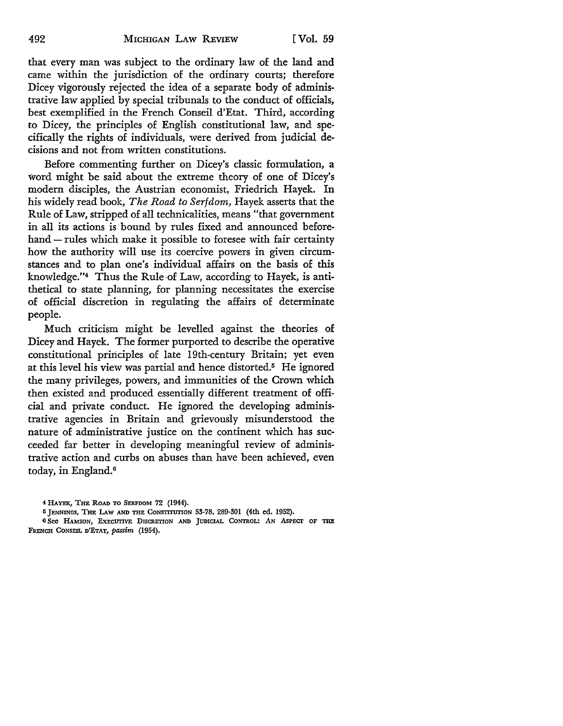that every man was subject to the ordinary law of the land and came within the jurisdiction of the ordinary courts; therefore Dicey vigorously rejected the idea of a separate body of administrative law applied by special tribunals to the conduct of officials, best exemplified in the French Conseil d'Etat. Third, according to Dicey, the principles of English constitutional law, and specifically the rights of individuals, were derived from judicial decisions and not from written constitutions.

Before commenting further on Dicey's classic formulation, a word might be said about the extreme theory of one of Dicey's modern disciples, the Austrian economist, Friedrich Hayek. In his widely read book, *The Road to Serfdom,* Hayek asserts that the Rule of Law, stripped of all technicalities, means "that government in all its actions is bound by rules fixed and announced beforehand – rules which make it possible to foresee with fair certainty how the authority will use its coercive powers in given circumstances and to plan one's individual affairs on the basis of this knowledge."4 Thus the Rule-of Law, according to Hayek, is antithetical to state planning, for planning necessitates the exercise of official discretion in regulating the affairs of determinate people.

Much criticism might be levelled against the theories of Dicey and Hayek. The former purported to describe the operative constitutional principles of late 19th-century Britain; yet even at this level his view was partial and hence distorted.<sup>5</sup> He ignored the many privileges, powers, and immunities of the Crown which then existed and produced essentially different treatment of official and private conduct. He ignored the developing administrative agencies in Britain and grievously misunderstood the nature of administrative justice on the continent which has succeeded far better in developing meaningful review of administrative action and curbs on abuses than have been achieved, even today, in England.<sup>6</sup>

<sup>4</sup> HAYEK, THE ROAD TO SERFDOM 72 (1944).

<sup>5</sup> JENNINGS, THE LAW AND THE CONSTITUTION 53-78, 289-301 (4th ed. 1952).

<sup>6</sup> See HAMSON, EXECUTIVE DISCRETION AND JUDICIAL CONTROL: AN AsPECT OF THE FRENCH CONSEIL D'ETAT, *passim* (1954).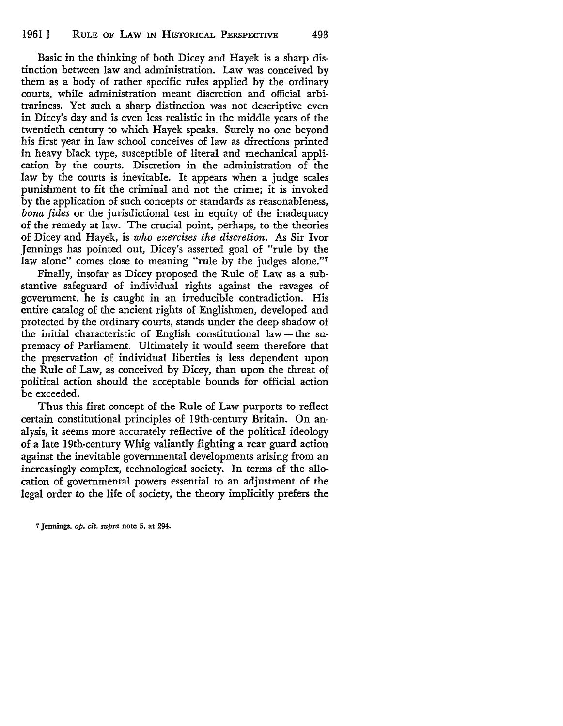Basic in the thinking of both Dicey and Hayek is a sharp distinction between law and administration. Law was conceived by them as a body of rather specific rules applied by the ordinary courts, while administration meant discretion and official arbitrariness. Yet such a sharp distinction was not descriptive even in Dicey's day and is even less realistic in the middle years of the twentieth century to which Hayek speaks. Surely no one beyond his first year in law school conceives of law as directions printed in heavy black type, susceptible of literal and mechanical application by the courts. Discretion in the administration of the law by the courts is inevitable. It appears when a judge scales punishment to fit the criminal and not the crime; it is invoked by the application of such concepts or standards as reasonableness, *bona fides* or the jurisdictional test in equity of the inadequacy of the remedy at law. The crucial point, perhaps, to the theories of Dicey and Hayek, is *who exercises the discretion.* As Sir Ivor Jennings has pointed out, Dicey's asserted goal of "rule by the law alone" comes close to meaning "rule by the judges alone."<sup>7</sup>

Finally, insofar as Dicey proposed the Rule of Law as a substantive safeguard of individual rights against the ravages of government, he is caught in an irreducible contradiction. His entire catalog of the ancient rights of Englishmen, developed and protected by the ordinary courts, stands under the deep shadow of the initial characteristic of English constitutional law  $-$  the supremacy of Parliament. Ultimately it would seem therefore that the preservation of individual liberties is less dependent upon the Rule of Law, as conceived by Dicey, than upon the threat of political action should the acceptable bounds for official action be exceeded.

Thus this first concept of the Rule of Law purports to reflect certain constitutional principles of 19th-century Britain. On analysis, it seems more accurately reflective of the political ideology of a late 19th-century Whig valiantly fighting a rear guard action against the inevitable governmental developments arising from an increasingly complex, technological society. In terms of the allocation of governmental powers essential to an adjustment of the legal order to the life of society, the theory implicitly prefers the

<sup>7</sup> Jennings, *op. cit. supra* note 5, at 294.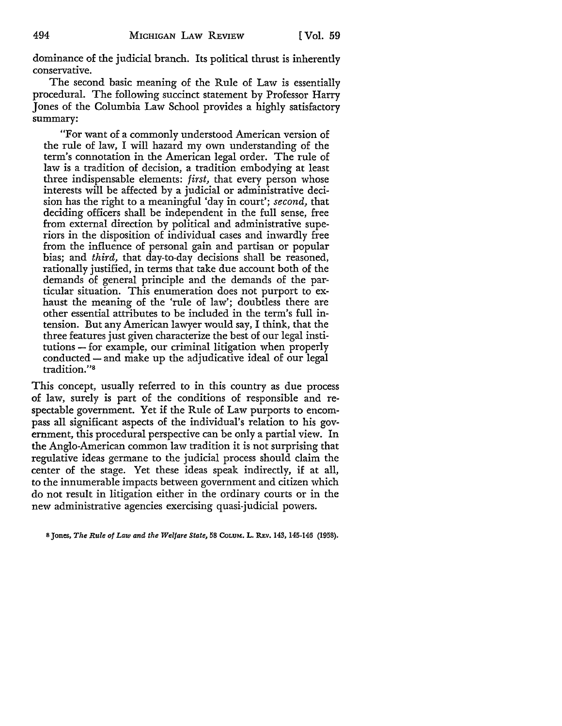dominance of the judicial branch. Its political thrust is inherently conservative.

The second basic meaning of the Rule of Law is essentially procedural. The following succinct statement by Professor Harry Jones of the Columbia Law School provides a highly satisfactory summary:

"For want of a commonly understood American version of the rule of law, I will hazard my own understanding of the term's connotation in the American legal order. The rule of law is a tradition of decision, a tradition embodying at least three indispensable elements: *first,* that every person whose interests will be affected by a judicial or administrative decision has the right to a meaningful 'day in court'; *second,* that deciding officers shall be independent in the full sense, free from external direction by political and administrative superiors in the disposition of individual cases and inwardly free from the influence of personal gain and partisan or popular bias; and *third,* that day-to-day decisions shall be reasoned, rationally justified, in terms that take due account both of the demands of general principle and the demands of the particular situation. This enumeration does not purport to exhaust the meaning of the 'rule of law'; doubtless there are other essential attributes to be included in the term's full intension. But any American lawyer would say, I think, that the three features just given characterize the best of our legal institutions - for example, our criminal litigation when properly conducted- and make up the adjudicative ideal of our legal tradition."<sup>8</sup>

This concept, usually referred to in this country as due process of law, surely is part of the conditions of responsible and respectable government. Yet if the Rule of Law purports to encompass all significant aspects of the individual's relation to his government, this procedural perspective can be only a partial view. In the Anglo-American common law tradition it is not surprising that regulative ideas germane to the judicial process should claim the center of the stage. Yet these ideas speak indirectly, if at all, to the innumerable impacts between government and citizen which do not result in litigation either in the ordinary courts or in the new administrative agencies exercising quasi-judicial powers.

s Jones, *The Rule of Law and the Welfare State,* 58 CoLUM. L. REv. 143, 145-146 (1958).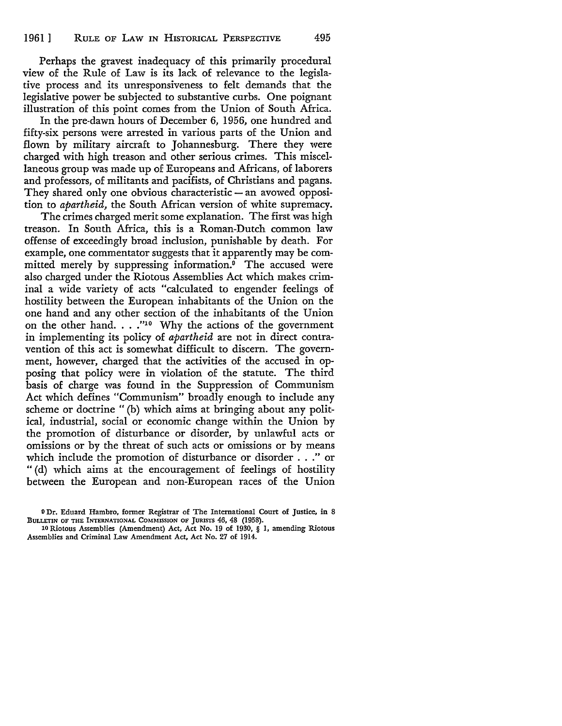Perhaps the gravest inadequacy of this primarily procedural view of the Rule of Law is its lack of relevance to the legislative process and its unresponsiveness to felt demands that the legislative power be subjected to substantive curbs. One poignant illustration of this point comes from the Union of South Africa.

In the pre-dawn hours of December 6, 1956, one hundred and fifty-six persons were arrested in various parts of the Union and flown by military aircraft to Johannesburg. There they were charged with high treason and other serious crimes. This miscellaneous group was made up of Europeans and Africans, of laborers and professors, of militants and pacifists, of Christians and pagans. They shared only one obvious characteristic  $-$  an avowed opposition to *apartheid,* the South African version of white supremacy.

The crimes charged merit some explanation. The first was high treason. In South Africa, this is a Roman-Dutch common law offense of exceedingly broad inclusion, punishable by death. For example, one commentator suggests that it apparently may be committed merely by suppressing information.9 The accused were also charged under the Riotous Assemblies Act which makes criminal a wide variety of acts "calculated to engender feelings of hostility between the European inhabitants of the Union on the one hand and any other section of the inhabitants of the Union on the other hand.  $\ldots$ ."<sup>10</sup> Why the actions of the government in implementing its policy of *apartheid* are not in direct contravention of this act is somewhat difficult to discern. The government, however, charged that the activities of the accused in opposing that policy were in violation of the statute. The third basis of charge was found in the Suppression of Communism Act which defines "Communism" broadly enough to include any scheme or doctrine " (b) which aims at bringing about any political, industrial, social or economic change within the Union by the promotion of disturbance or disorder, by unlawful acts or omissions or by the threat of such acts or omissions or by means which include the promotion of disturbance or disorder ... " or " (d) which aims at the encouragement of feelings of hostility between the European and non-European races of the Union

o Dr. Eduard Hambro, former Registrar of The International Court of Justice, in 8 BULLETIN OF THE INTERNATIONAL COMMISSION OF JURISTS 46, 48 (1958).

<sup>10</sup> Riotous Assemblies (Amendment) Act, Act No. 19 of 1930, § I, amending Riotous Assemblies and Criminal Law Amendment Act, Act No. 27 of 1914.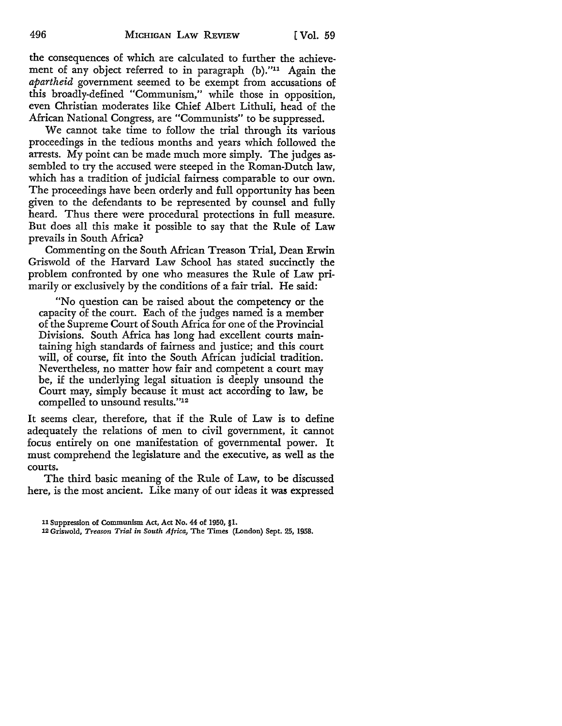the consequences of which are calculated to further the achievement of any object referred to in paragraph (b)."11 Again the *apartheid* government seemed to be exempt from accusations of this broadly-defined "Communism," while those in opposition, even Christian moderates like Chief Albert Lithuli, head of the African National Congress, are "Communists" to be suppressed.

We cannot take time to follow the trial through its various proceedings in the tedious months and years which followed the arrests. My point can be made much more simply. The judges assembled to try the accused were steeped in the Roman-Dutch law, which has a tradition of judicial fairness comparable to our own. The proceedings have been orderly and full opportunity has been given to the defendants to be represented by counsel and fully heard. Thus there were procedural protections in full measure. But does all this make it possible to say that the Rule of Law prevails in South Africa?

Commenting on the South African Treason Trial, Dean Erwin Griswold of the Harvard Law School has stated succinctly the problem confronted by one who measures the Rule of Law primarily or exclusively by the conditions of a fair trial. He said:

"No question can be raised about the competency or the capacity of the court. Each of the judges named is a member of the Supreme Court of South Africa for one of the Provincial Divisions. South Africa has long had excellent courts maintaining high standards of fairness and justice; and this court will, of course, fit into the South African judicial tradition. Nevertheless, no matter how fair and competent a court may be, if the underlying legal situation is deeply unsound the Court may, simply because it must act according to law, be compelled to unsound results."12

It seems clear, therefore, that if the Rule of Law is to define adequately the relations of men to civil government, it cannot focus entirely on one manifestation of governmental power. It must comprehend the legislature and the executive, as well as the courts.

The third basic meaning of the Rule of Law, to be discussed here, is the most ancient. Like many of our ideas it was expressed

<sup>11</sup> Suppression of Communism Act, Act No. 44 of 1950, §1.

<sup>12</sup> Griswold, *Treason Trial in South Africa,* The Times (London) Sept. 25, 1958.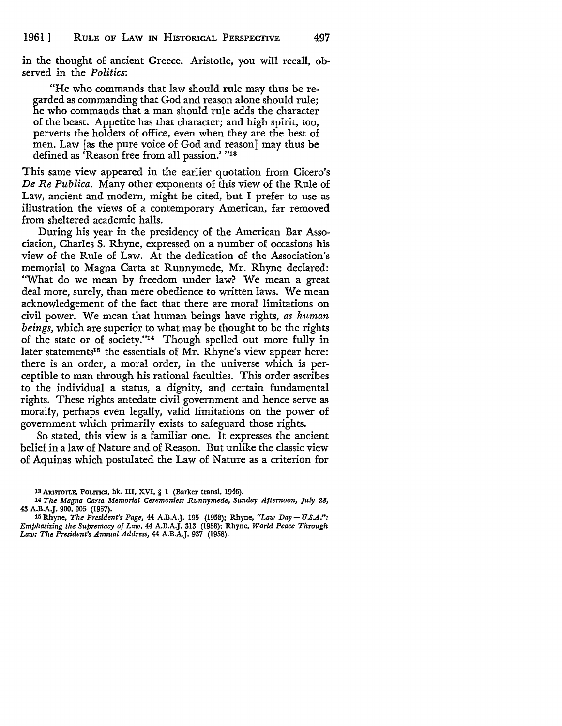in the thought of ancient Greece. Aristotle, you will recall, observed in the *Politics:* 

"He who commands that law should rule may thus be regarded as commanding that God and reason alone should rule; he who commands that a man should rule adds the character of the beast. Appetite has that character; and high spirit, too, perverts the holders of office, even when they are the best of men. Law [as the pure voice of God and reason] may thus be defined as 'Reason free from all passion.' "13

This same view appeared in the earlier quotation from Cicero's *De Re Publica.* Many other exponents of this view of the Rule of Law, ancient and modern, might be cited, but I prefer to use as illustration the views of a contemporary American, far removed from sheltered academic halls.

During his year in the presidency of the American Bar Association, Charles S. Rhyne, expressed on a number of occasions his view of the Rule of Law. At the dedication of the Association's memorial to Magna Carta at Runnymede, Mr. Rhyne declared: "What do we mean by freedom under law? We mean a great deal more, surely, than mere obedience to written laws. We mean acknowledgement of the fact that there are moral limitations on civil power. We mean that human beings have rights, *as human beings,* which are superior to what may be thought to be the rights of the state or of society."14 Though spelled out more fully in later statements<sup>15</sup> the essentials of Mr. Rhyne's view appear here: there is an order, a moral order, in the universe which is perceptible to man through his rational faculties. This order ascribes to the individual a status, a dignity, and certain fundamental rights. These rights antedate civil government and hence serve as morally, perhaps even legally, valid limitations on the power of government which primarily exists to safeguard those rights.

So stated, this view is a familiar one. It expresses the ancient belief in a law of Nature and of Reason. But unlike the classic view of Aquinas which postulated the Law of Nature as a criterion for

<sup>13</sup> ARISTOTLE, POLITICS, bk. III, XVI, § 1 (Barker transl. 1946).

<sup>14</sup> *The Magna Carta Memorial Ceremonies: Runnymede, Sunday Afternoon, July 28,*  43 A.B.A.J. 900, 905 (1957).

<sup>15</sup> Rhyne, *The President's Page*, 44 A.B.A.J. 195 (1958); Rhyne, "Law Day - U.S.A.": *Emphasizing the Supremacy of Law,* 44 A.B.A.J. 313 (1958); Rhyne, *World Peace Through Law: The President's Annual Address,* 44 A.B.A.J. 937 (1958).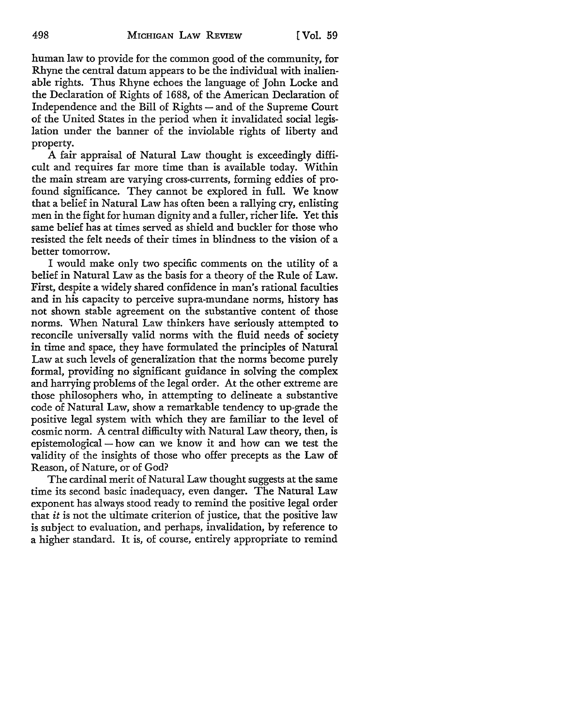human law to provide for the common good of the community, for Rhyne the central datum appears to be the individual with inalienable rights. Thus Rhyne echoes the language of John Locke and the Declaration of Rights of 1688, of the American Declaration of Independence and the Bill of Rights – and of the Supreme Court of the United States in the period when it invalidated social legislation under the banner of the inviolable rights of liberty and property.

A fair appraisal of Natural Law thought is exceedingly difficult and requires far more time than is available today. Within the main stream are varying cross-currents, forming eddies of profound significance. They cannot be explored in full. We know that a belief in Natural Law has often been a rallying cry, enlisting men in the fight for human dignity and a fuller, richer life. Yet this same belief has at times served as shield and buckler for those who resisted the felt needs of their times in blindness to the vision of a better tomorrow.

I would make only two specific comments on the utility of a belief in Natural Law as the basis for a theory of the Rule of Law. First, despite a widely shared confidence in man's rational faculties and in his capacity to perceive supra-mundane norms, history has not shown stable agreement on the substantive content of those norms. When Natural Law thinkers have seriously attempted to reconcile universally valid norms with the fluid needs of society in time and space, they have formulated the principles of Natural Law at such levels of generalization that the norms become purely formal, providing no significant guidance in solving the complex and harrying problems of the legal order. At the other extreme are those philosophers who, in attempting to delineate a substantive code of Natural Law, show a remarkable tendency to up-grade the positive legal system with which they are familiar to the level of cosmic norm. A central difficulty with Natural Law theory, then, is  $epistemological - how can we know it and how can we test the$ validity of the insights of those who offer precepts as the Law of Reason, of Nature, or of God?

The cardinal merit of Natural Law thought suggests at the same time its second basic inadequacy, even danger. The Natural Law exponent has always stood ready to remind the positive legal order that *it* is not the ultimate criterion of justice, that the positive law is subject to evaluation, and perhaps, invalidation, by reference to a higher standard. It is, of course, entirely appropriate to remind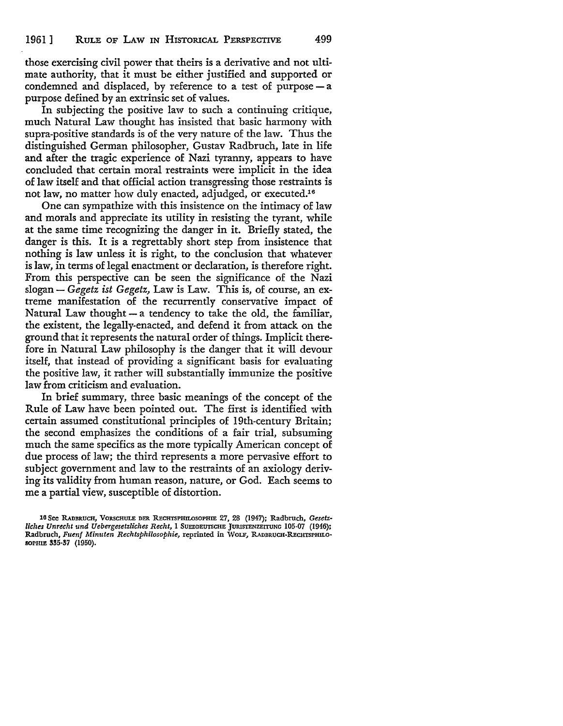those exercising civil power that theirs is a derivative and not ultimate authority, that it must be either justified and supported or condemned and displaced, by reference to a test of purpose  $-a$ purpose defined by an extrinsic set of values.

In subjecting the positive law to such a continuing critique, much Natural Law thought has insisted that basic harmony with supra-positive standards is of the very nature of the law. Thus the distinguished German philosopher, Gustav Radbruch, late in life and after the tragic experience of Nazi tyranny, appears to have concluded that certain moral restraints were implicit in the idea of law itself and that official action transgressing those restraints is not law, no matter how duly enacted, adjudged, or executed.16

One can sympathize with this insistence on the intimacy of law and morals and appreciate its utility in resisting the tyrant, while at the same time recognizing the danger in it. Briefly stated, the danger is this. It is a regrettably short step from insistence that nothing is law unless it is right, to the conclusion that whatever is law, in terms of legal enactment or declaration, is therefore right. From this perspective can be seen the significance of the Nazi slogan - *Gegetz ist Gegetz*, Law is Law. This is, of course, an extreme manifestation of the recurrently conservative impact of Natural Law thought $-$ a tendency to take the old, the familiar, the existent, the legally-enacted, and defend it from attack on the ground that it represents the natural order of things. Implicit therefore in Natural Law philosophy is the danger that it will devour itself, that instead of providing a significant basis for evaluating the positive law, it rather will substantially immunize the positive law from criticism and evaluation.

In brief summary, three basic meanings of the concept of the Rule of Law have been pointed out. The first is identified with certain assumed constitutional principles of 19th-century Britain; the second emphasizes the conditions of a fair trial, subsuming much the same specifics as the more typically American concept of due process of law; the third represents a more pervasive effort to subject government and law to the restraints of an axiology deriving its validity from human reason, nature, or God. Each seems to me a partial view, susceptible of distortion.

**<sup>16</sup> See** RADBRUCH, VORSCHULE DER RECHTSPHILOSOPHIB 27, 28 (1947); Radbruch, *Gesetzliches Unrecht und Uebergesetzliches Recht,* 1 SUEDDEUTSCHE JURISTENZEITUNG 105-07 (1946); Radbruch, *Fuenf Minuten Rechtsphilosophie,* reprinted in WoLF, RADBRUCH-RECHTSPHILO-SOPHIE 335-37 (1950).